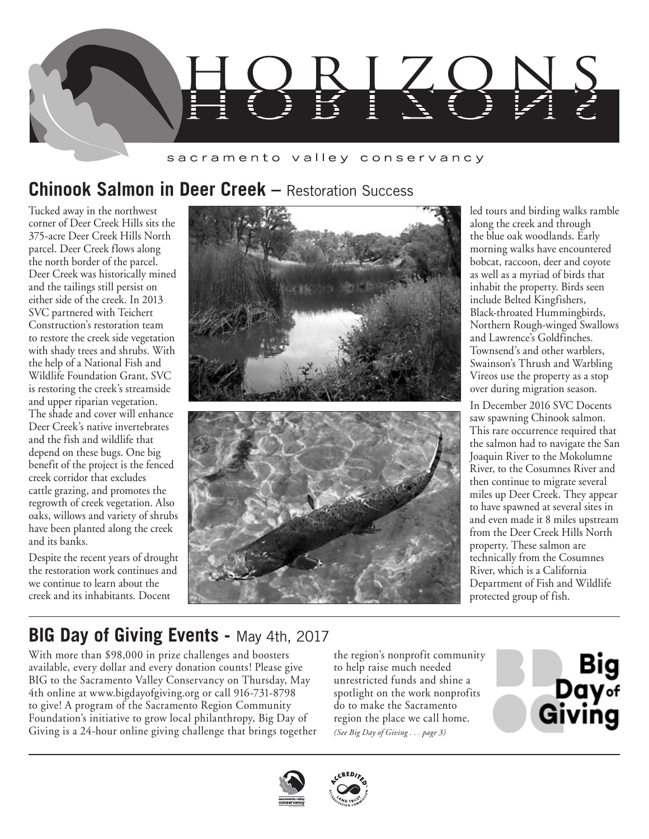

#### sacramento valley conservancy

## **Chinook Salmon in Deer Creek – Restoration Success**

Tucked away in the northwest corner of Deer Creek Hills sits the 375-acre Deer Creek Hills North parcel. Deer Creek flows along the north border of the parcel. Deer Creek was historically mined and the tailings still persist on either side of the creek. In 2013 SVC partnered with Teichert Construction's restoration team to restore the creek side vegetation with shady trees and shrubs. With the help of a National Fish and Wildlife Foundation Grant, SVC is restoring the creek's streamside and upper riparian vegetation. The shade and cover will enhance Deer Creek's native invertebrates and the fish and wildlife that depend on these bugs. One big benefit of the project is the fenced creek corridor that excludes cattle grazing, and promotes the regrowth of creek vegetation. Also oaks, willows and variety of shrubs have been planted along the creek and its banks.

Despite the recent years of drought the restoration work continues and we continue to learn about the creek and its inhabitants. Docent



led tours and birding walks ramble along the creek and through the blue oak woodlands. Early morning walks have encountered bobcat, raccoon, deer and coyote as well as a myriad of birds that inhabit the property. Birds seen include Belted Kingfishers, Black-throated Hummingbirds, Northern Rough-winged Swallows and Lawrence's Goldfinches. Townsend's and other warblers, Swainson's Thrush and Warbling Vireos use the property as a stop over during migration season.

In December 2016 SVC Docents saw spawning Chinook salmon. This rare occurrence required that the salmon had to navigate the San Joaquin River to the Mokolumne River, to the Cosumnes River and then continue to migrate several miles up Deer Creek. They appear to have spawned at several sites in and even made it 8 miles upstream from the Deer Creek Hills North property. These salmon are technically from the Cosumnes River, which is a California Department of Fish and Wildlife protected group of fish.

## **BIG Day of Giving Events -** May 4th, 2017

With more than \$98,000 in prize challenges and boosters available, every dollar and every donation counts! Please give BIG to the Sacramento Valley Conservancy on Thursday, May 4th online at www.bigdayofgiving.org or call 916-731-8798 to give! A program of the Sacramento Region Community Foundation's initiative to grow local philanthropy, Big Day of Giving is a 24-hour online giving challenge that brings together

the region's nonprofit community to help raise much needed unrestricted funds and shine a spotlight on the work nonprofits do to make the Sacramento region the place we call home. *(See Big Day of Giving . . . page 3)*





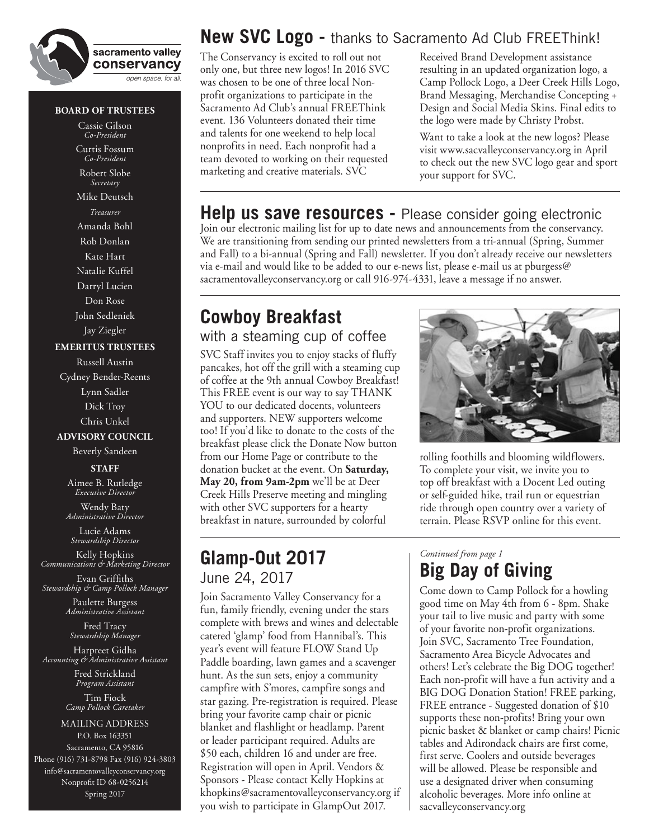

#### **BOARD OF TRUSTEES**

Cassie Gilson *Co-President* Curtis Fossum *Co-President*

Robert Slobe *Secretary*

Mike Deutsch *Treasurer* Amanda Bohl Rob Donlan Kate Hart Natalie Kuffel Darryl Lucien Don Rose John Sedleniek

Jay Ziegler

#### **EMERITUS TRUSTEES**

Russell Austin Cydney Bender-Reents Lynn Sadler Dick Troy Chris Unkel **ADVISORY COUNCIL** Beverly Sandeen

**STAFF**

Aimee B. Rutledge *Executive Director* Wendy Baty

*Administrative Director* Lucie Adams

*Stewardship Director*

Kelly Hopkins *Communications & Marketing Director*

Evan Griffiths *Stewardship & Camp Pollock Manager*

> Paulette Burgess *Administrative Assistant*

Fred Tracy *Stewardship Manager*

Harpreet Gidha *Accounting & Administrative Assistant*

Fred Strickland *Program Assistant* Tim Fiock *Camp Pollock Caretaker*

MAILING ADDRESS P.O. Box 163351 Sacramento, CA 95816 Phone (916) 731-8798 Fax (916) 924-3803 info@sacramentovalleyconservancy.org Nonprofit ID 68-0256214 Spring 2017

### **New SVC Logo -** thanks to Sacramento Ad Club FREEThink!

The Conservancy is excited to roll out not only one, but three new logos! In 2016 SVC was chosen to be one of three local Nonprofit organizations to participate in the Sacramento Ad Club's annual FREEThink event. 136 Volunteers donated their time and talents for one weekend to help local nonprofits in need. Each nonprofit had a team devoted to working on their requested marketing and creative materials. SVC

Received Brand Development assistance resulting in an updated organization logo, a Camp Pollock Logo, a Deer Creek Hills Logo, Brand Messaging, Merchandise Concepting + Design and Social Media Skins. Final edits to the logo were made by Christy Probst.

Want to take a look at the new logos? Please visit www.sacvalleyconservancy.org in April to check out the new SVC logo gear and sport your support for SVC.

#### **Help us save resources -** Please consider going electronic

Join our electronic mailing list for up to date news and announcements from the conservancy. We are transitioning from sending our printed newsletters from a tri-annual (Spring, Summer and Fall) to a bi-annual (Spring and Fall) newsletter. If you don't already receive our newsletters via e-mail and would like to be added to our e-news list, please e-mail us at pburgess@ sacramentovalleyconservancy.org or call 916-974-4331, leave a message if no answer.

# **Cowboy Breakfast**

#### with a steaming cup of coffee

SVC Staff invites you to enjoy stacks of fluffy pancakes, hot off the grill with a steaming cup of coffee at the 9th annual Cowboy Breakfast! This FREE event is our way to say THANK YOU to our dedicated docents, volunteers and supporters. NEW supporters welcome too! If you'd like to donate to the costs of the breakfast please click the Donate Now button from our Home Page or contribute to the donation bucket at the event. On **Saturday, May 20, from 9am-2pm** we'll be at Deer Creek Hills Preserve meeting and mingling with other SVC supporters for a hearty breakfast in nature, surrounded by colorful

### **Glamp-Out 2017** June 24, 2017

Join Sacramento Valley Conservancy for a fun, family friendly, evening under the stars complete with brews and wines and delectable catered 'glamp' food from Hannibal's. This year's event will feature FLOW Stand Up Paddle boarding, lawn games and a scavenger hunt. As the sun sets, enjoy a community campfire with S'mores, campfire songs and star gazing. Pre-registration is required. Please bring your favorite camp chair or picnic blanket and flashlight or headlamp. Parent or leader participant required. Adults are \$50 each, children 16 and under are free. Registration will open in April. Vendors & Sponsors - Please contact Kelly Hopkins at khopkins@sacramentovalleyconservancy.org if you wish to participate in GlampOut 2017.



rolling foothills and blooming wildflowers. To complete your visit, we invite you to top off breakfast with a Docent Led outing or self-guided hike, trail run or equestrian ride through open country over a variety of terrain. Please RSVP online for this event.

### *Continued from page 1* **Big Day of Giving**

Come down to Camp Pollock for a howling good time on May 4th from 6 - 8pm. Shake your tail to live music and party with some of your favorite non-profit organizations. Join SVC, Sacramento Tree Foundation, Sacramento Area Bicycle Advocates and others! Let's celebrate the Big DOG together! Each non-profit will have a fun activity and a BIG DOG Donation Station! FREE parking, FREE entrance - Suggested donation of \$10 supports these non-profits! Bring your own picnic basket & blanket or camp chairs! Picnic tables and Adirondack chairs are first come, first serve. Coolers and outside beverages will be allowed. Please be responsible and use a designated driver when consuming alcoholic beverages. More info online at sacvalleyconservancy.org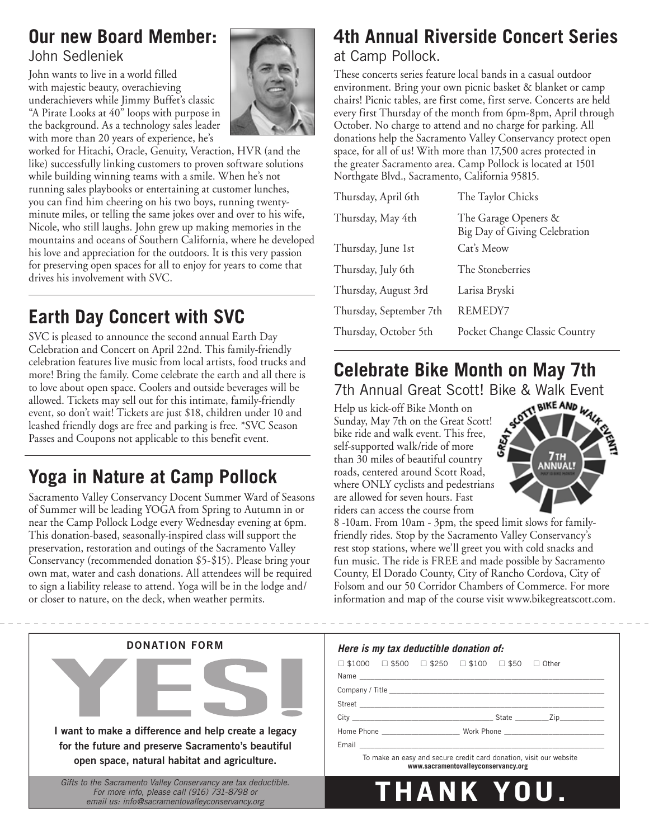### **Our new Board Member:** John Sedleniek

John wants to live in a world filled with majestic beauty, overachieving underachievers while Jimmy Buffet's classic "A Pirate Looks at 40" loops with purpose in the background. As a technology sales leader with more than 20 years of experience, he's

worked for Hitachi, Oracle, Genuity, Veraction, HVR (and the like) successfully linking customers to proven software solutions while building winning teams with a smile. When he's not running sales playbooks or entertaining at customer lunches, you can find him cheering on his two boys, running twentyminute miles, or telling the same jokes over and over to his wife, Nicole, who still laughs. John grew up making memories in the mountains and oceans of Southern California, where he developed his love and appreciation for the outdoors. It is this very passion for preserving open spaces for all to enjoy for years to come that drives his involvement with SVC.

# **Earth Day Concert with SVC**

SVC is pleased to announce the second annual Earth Day Celebration and Concert on April 22nd. This family-friendly celebration features live music from local artists, food trucks and more! Bring the family. Come celebrate the earth and all there is to love about open space. Coolers and outside beverages will be allowed. Tickets may sell out for this intimate, family-friendly event, so don't wait! Tickets are just \$18, children under 10 and leashed friendly dogs are free and parking is free. \*SVC Season Passes and Coupons not applicable to this benefit event.

# **Yoga in Nature at Camp Pollock**

Sacramento Valley Conservancy Docent Summer Ward of Seasons of Summer will be leading YOGA from Spring to Autumn in or near the Camp Pollock Lodge every Wednesday evening at 6pm. This donation-based, seasonally-inspired class will support the preservation, restoration and outings of the Sacramento Valley Conservancy (recommended donation \$5-\$15). Please bring your own mat, water and cash donations. All attendees will be required to sign a liability release to attend. Yoga will be in the lodge and/ or closer to nature, on the deck, when weather permits.



# **4th Annual Riverside Concert Series** at Camp Pollock.

These concerts series feature local bands in a casual outdoor environment. Bring your own picnic basket & blanket or camp chairs! Picnic tables, are first come, first serve. Concerts are held every first Thursday of the month from 6pm-8pm, April through October. No charge to attend and no charge for parking. All donations help the Sacramento Valley Conservancy protect open space, for all of us! With more than 17,500 acres protected in the greater Sacramento area. Camp Pollock is located at 1501 Northgate Blvd., Sacramento, California 95815.

| Thursday, April 6th     | The Taylor Chicks                                     |
|-------------------------|-------------------------------------------------------|
| Thursday, May 4th       | The Garage Openers &<br>Big Day of Giving Celebration |
| Thursday, June 1st      | Cat's Meow                                            |
| Thursday, July 6th      | The Stoneberries                                      |
| Thursday, August 3rd    | Larisa Bryski                                         |
| Thursday, September 7th | REMEDY7                                               |
| Thursday, October 5th   | Pocket Change Classic Country                         |
|                         |                                                       |

# **Celebrate Bike Month on May 7th**

7th Annual Great Scott! Bike & Walk Event

Help us kick-off Bike Month on Sunday, May 7th on the Great Scott! bike ride and walk event. This free, self-supported walk/ride of more than 30 miles of beautiful country roads, centered around Scott Road, where ONLY cyclists and pedestrians are allowed for seven hours. Fast riders can access the course from



8 -10am. From 10am - 3pm, the speed limit slows for familyfriendly rides. Stop by the Sacramento Valley Conservancy's rest stop stations, where we'll greet you with cold snacks and fun music. The ride is FREE and made possible by Sacramento County, El Dorado County, City of Rancho Cordova, City of Folsom and our 50 Corridor Chambers of Commerce. For more information and map of the course visit www.bikegreatscott.com.

| <b>DONATION FORM</b>                                                                                                                                             | Here is my tax deductible donation of:                                                                    |
|------------------------------------------------------------------------------------------------------------------------------------------------------------------|-----------------------------------------------------------------------------------------------------------|
|                                                                                                                                                                  | $\Box$ \$1000 $\Box$ \$500 $\Box$ \$250 $\Box$ \$100 $\Box$ \$50 $\Box$ Other                             |
| I want to make a difference and help create a legacy<br>for the future and preserve Sacramento's beautiful<br>open space, natural habitat and agriculture.       | To make an easy and secure credit card donation, visit our website<br>www.sacramentovalleyconservancy.org |
| Gifts to the Sacramento Valley Conservancy are tax deductible.<br>For more info, please call (916) 731-8798 or<br>email us: info@sacramentovalleyconservancy.org | THANK YOU.                                                                                                |